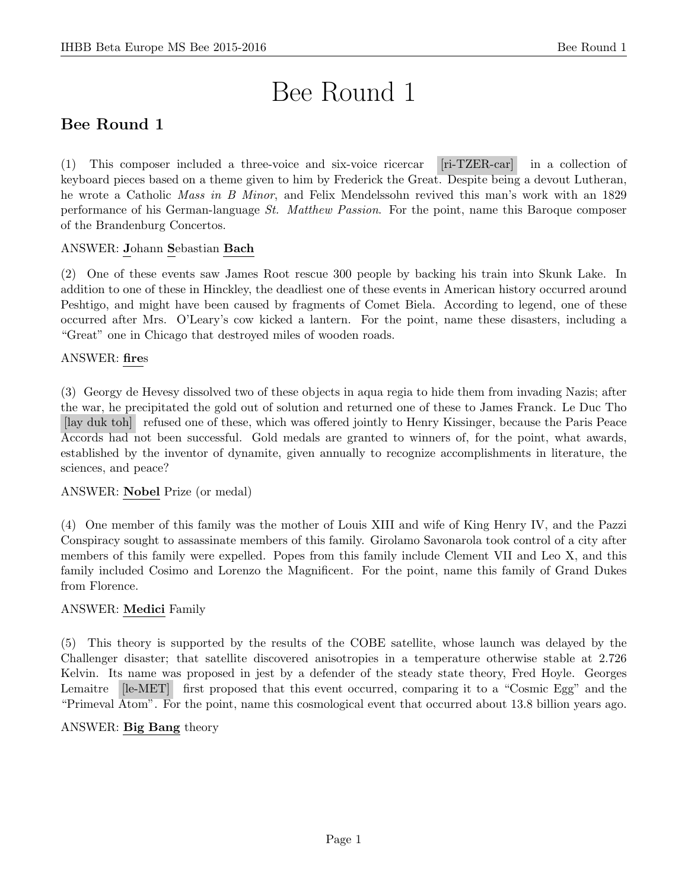# Bee Round 1

# Bee Round 1

(1) This composer included a three-voice and six-voice ricercar [ri-TZER-car] in a collection of keyboard pieces based on a theme given to him by Frederick the Great. Despite being a devout Lutheran, he wrote a Catholic Mass in B Minor, and Felix Mendelssohn revived this man's work with an 1829 performance of his German-language St. Matthew Passion. For the point, name this Baroque composer of the Brandenburg Concertos.

# ANSWER: Johann Sebastian Bach

(2) One of these events saw James Root rescue 300 people by backing his train into Skunk Lake. In addition to one of these in Hinckley, the deadliest one of these events in American history occurred around Peshtigo, and might have been caused by fragments of Comet Biela. According to legend, one of these occurred after Mrs. O'Leary's cow kicked a lantern. For the point, name these disasters, including a "Great" one in Chicago that destroyed miles of wooden roads.

# ANSWER: fires

(3) Georgy de Hevesy dissolved two of these objects in aqua regia to hide them from invading Nazis; after the war, he precipitated the gold out of solution and returned one of these to James Franck. Le Duc Tho [lay duk toh] refused one of these, which was offered jointly to Henry Kissinger, because the Paris Peace Accords had not been successful. Gold medals are granted to winners of, for the point, what awards, established by the inventor of dynamite, given annually to recognize accomplishments in literature, the sciences, and peace?

# ANSWER: Nobel Prize (or medal)

(4) One member of this family was the mother of Louis XIII and wife of King Henry IV, and the Pazzi Conspiracy sought to assassinate members of this family. Girolamo Savonarola took control of a city after members of this family were expelled. Popes from this family include Clement VII and Leo X, and this family included Cosimo and Lorenzo the Magnificent. For the point, name this family of Grand Dukes from Florence.

# ANSWER: Medici Family

(5) This theory is supported by the results of the COBE satellite, whose launch was delayed by the Challenger disaster; that satellite discovered anisotropies in a temperature otherwise stable at 2.726 Kelvin. Its name was proposed in jest by a defender of the steady state theory, Fred Hoyle. Georges Lemaitre [le-MET] first proposed that this event occurred, comparing it to a "Cosmic Egg" and the "Primeval Atom". For the point, name this cosmological event that occurred about 13.8 billion years ago.

#### ANSWER: Big Bang theory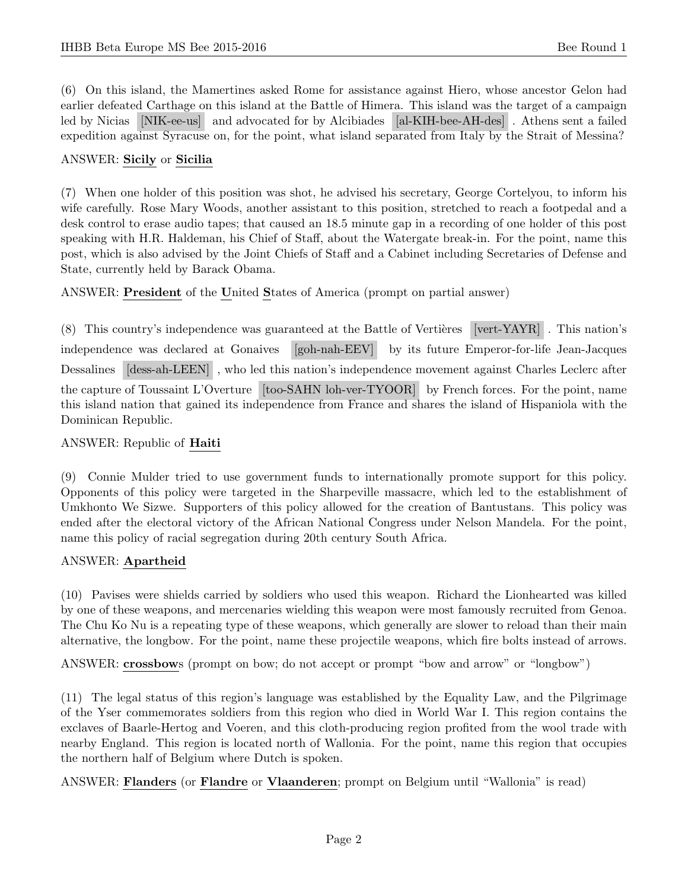(6) On this island, the Mamertines asked Rome for assistance against Hiero, whose ancestor Gelon had earlier defeated Carthage on this island at the Battle of Himera. This island was the target of a campaign led by Nicias [NIK-ee-us] and advocated for by Alcibiades [al-KIH-bee-AH-des] . Athens sent a failed expedition against Syracuse on, for the point, what island separated from Italy by the Strait of Messina?

#### ANSWER: Sicily or Sicilia

(7) When one holder of this position was shot, he advised his secretary, George Cortelyou, to inform his wife carefully. Rose Mary Woods, another assistant to this position, stretched to reach a footpedal and a desk control to erase audio tapes; that caused an 18.5 minute gap in a recording of one holder of this post speaking with H.R. Haldeman, his Chief of Staff, about the Watergate break-in. For the point, name this post, which is also advised by the Joint Chiefs of Staff and a Cabinet including Secretaries of Defense and State, currently held by Barack Obama.

ANSWER: President of the United States of America (prompt on partial answer)

 $(8)$  This country's independence was guaranteed at the Battle of Vertières [vert-YAYR]. This nation's independence was declared at Gonaives [goh-nah-EEV] by its future Emperor-for-life Jean-Jacques Dessalines [dess-ah-LEEN] , who led this nation's independence movement against Charles Leclerc after the capture of Toussaint L'Overture [too-SAHN loh-ver-TYOOR] by French forces. For the point, name this island nation that gained its independence from France and shares the island of Hispaniola with the Dominican Republic.

#### ANSWER: Republic of Haiti

(9) Connie Mulder tried to use government funds to internationally promote support for this policy. Opponents of this policy were targeted in the Sharpeville massacre, which led to the establishment of Umkhonto We Sizwe. Supporters of this policy allowed for the creation of Bantustans. This policy was ended after the electoral victory of the African National Congress under Nelson Mandela. For the point, name this policy of racial segregation during 20th century South Africa.

#### ANSWER: Apartheid

(10) Pavises were shields carried by soldiers who used this weapon. Richard the Lionhearted was killed by one of these weapons, and mercenaries wielding this weapon were most famously recruited from Genoa. The Chu Ko Nu is a repeating type of these weapons, which generally are slower to reload than their main alternative, the longbow. For the point, name these projectile weapons, which fire bolts instead of arrows.

ANSWER: crossbows (prompt on bow; do not accept or prompt "bow and arrow" or "longbow")

(11) The legal status of this region's language was established by the Equality Law, and the Pilgrimage of the Yser commemorates soldiers from this region who died in World War I. This region contains the exclaves of Baarle-Hertog and Voeren, and this cloth-producing region profited from the wool trade with nearby England. This region is located north of Wallonia. For the point, name this region that occupies the northern half of Belgium where Dutch is spoken.

ANSWER: Flanders (or Flandre or Vlaanderen; prompt on Belgium until "Wallonia" is read)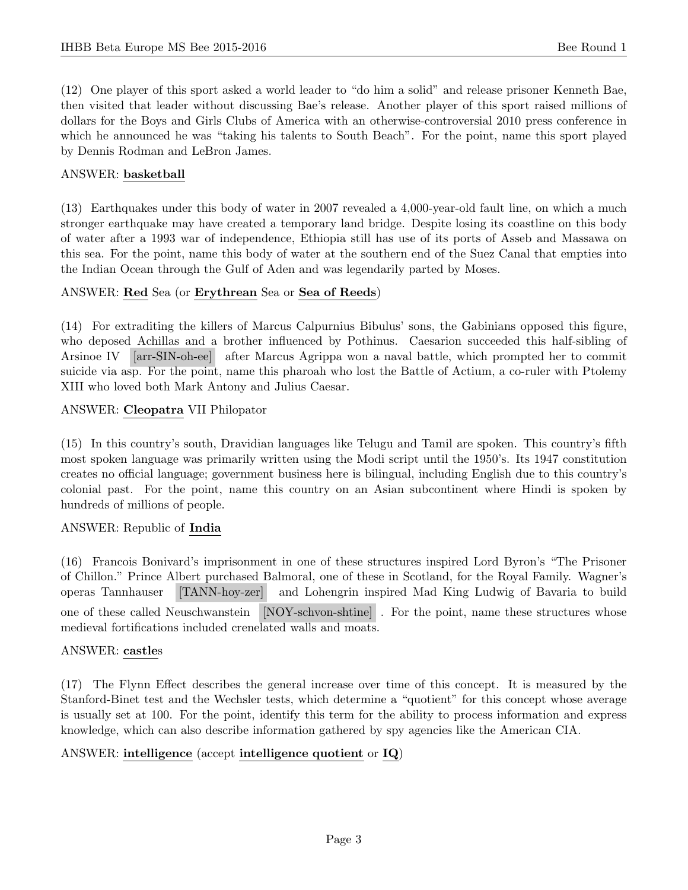(12) One player of this sport asked a world leader to "do him a solid" and release prisoner Kenneth Bae, then visited that leader without discussing Bae's release. Another player of this sport raised millions of dollars for the Boys and Girls Clubs of America with an otherwise-controversial 2010 press conference in which he announced he was "taking his talents to South Beach". For the point, name this sport played by Dennis Rodman and LeBron James.

#### ANSWER: basketball

(13) Earthquakes under this body of water in 2007 revealed a 4,000-year-old fault line, on which a much stronger earthquake may have created a temporary land bridge. Despite losing its coastline on this body of water after a 1993 war of independence, Ethiopia still has use of its ports of Asseb and Massawa on this sea. For the point, name this body of water at the southern end of the Suez Canal that empties into the Indian Ocean through the Gulf of Aden and was legendarily parted by Moses.

#### ANSWER: Red Sea (or Erythrean Sea or Sea of Reeds)

(14) For extraditing the killers of Marcus Calpurnius Bibulus' sons, the Gabinians opposed this figure, who deposed Achillas and a brother influenced by Pothinus. Caesarion succeeded this half-sibling of Arsinoe IV [arr-SIN-oh-ee] after Marcus Agrippa won a naval battle, which prompted her to commit suicide via asp. For the point, name this pharoah who lost the Battle of Actium, a co-ruler with Ptolemy XIII who loved both Mark Antony and Julius Caesar.

#### ANSWER: Cleopatra VII Philopator

(15) In this country's south, Dravidian languages like Telugu and Tamil are spoken. This country's fifth most spoken language was primarily written using the Modi script until the 1950's. Its 1947 constitution creates no official language; government business here is bilingual, including English due to this country's colonial past. For the point, name this country on an Asian subcontinent where Hindi is spoken by hundreds of millions of people.

# ANSWER: Republic of India

(16) Francois Bonivard's imprisonment in one of these structures inspired Lord Byron's "The Prisoner of Chillon." Prince Albert purchased Balmoral, one of these in Scotland, for the Royal Family. Wagner's operas Tannhauser [TANN-hoy-zer] and Lohengrin inspired Mad King Ludwig of Bavaria to build one of these called Neuschwanstein [NOY-schvon-shtine] . For the point, name these structures whose medieval fortifications included crenelated walls and moats.

#### ANSWER: castles

(17) The Flynn Effect describes the general increase over time of this concept. It is measured by the Stanford-Binet test and the Wechsler tests, which determine a "quotient" for this concept whose average is usually set at 100. For the point, identify this term for the ability to process information and express knowledge, which can also describe information gathered by spy agencies like the American CIA.

# ANSWER: intelligence (accept intelligence quotient or IQ)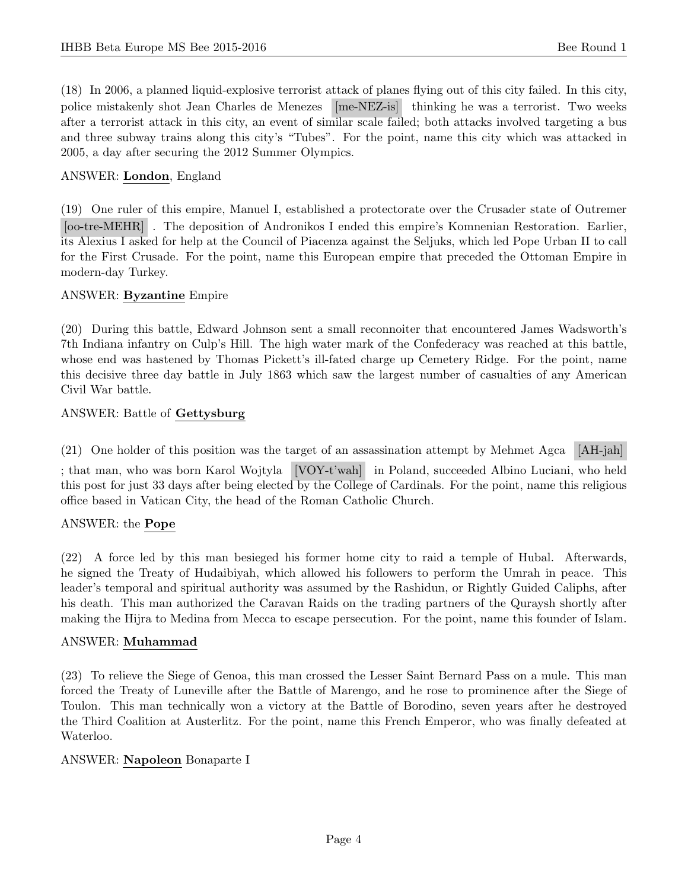(18) In 2006, a planned liquid-explosive terrorist attack of planes flying out of this city failed. In this city, police mistakenly shot Jean Charles de Menezes [me-NEZ-is] thinking he was a terrorist. Two weeks after a terrorist attack in this city, an event of similar scale failed; both attacks involved targeting a bus and three subway trains along this city's "Tubes". For the point, name this city which was attacked in 2005, a day after securing the 2012 Summer Olympics.

### ANSWER: London, England

(19) One ruler of this empire, Manuel I, established a protectorate over the Crusader state of Outremer [oo-tre-MEHR] . The deposition of Andronikos I ended this empire's Komnenian Restoration. Earlier, its Alexius I asked for help at the Council of Piacenza against the Seljuks, which led Pope Urban II to call for the First Crusade. For the point, name this European empire that preceded the Ottoman Empire in modern-day Turkey.

#### ANSWER: Byzantine Empire

(20) During this battle, Edward Johnson sent a small reconnoiter that encountered James Wadsworth's 7th Indiana infantry on Culp's Hill. The high water mark of the Confederacy was reached at this battle, whose end was hastened by Thomas Pickett's ill-fated charge up Cemetery Ridge. For the point, name this decisive three day battle in July 1863 which saw the largest number of casualties of any American Civil War battle.

#### ANSWER: Battle of Gettysburg

(21) One holder of this position was the target of an assassination attempt by Mehmet Agca [AH-jah]

; that man, who was born Karol Wojtyla [VOY-t'wah] in Poland, succeeded Albino Luciani, who held this post for just 33 days after being elected by the College of Cardinals. For the point, name this religious office based in Vatican City, the head of the Roman Catholic Church.

# ANSWER: the Pope

(22) A force led by this man besieged his former home city to raid a temple of Hubal. Afterwards, he signed the Treaty of Hudaibiyah, which allowed his followers to perform the Umrah in peace. This leader's temporal and spiritual authority was assumed by the Rashidun, or Rightly Guided Caliphs, after his death. This man authorized the Caravan Raids on the trading partners of the Quraysh shortly after making the Hijra to Medina from Mecca to escape persecution. For the point, name this founder of Islam.

#### ANSWER: Muhammad

(23) To relieve the Siege of Genoa, this man crossed the Lesser Saint Bernard Pass on a mule. This man forced the Treaty of Luneville after the Battle of Marengo, and he rose to prominence after the Siege of Toulon. This man technically won a victory at the Battle of Borodino, seven years after he destroyed the Third Coalition at Austerlitz. For the point, name this French Emperor, who was finally defeated at Waterloo.

#### ANSWER: Napoleon Bonaparte I